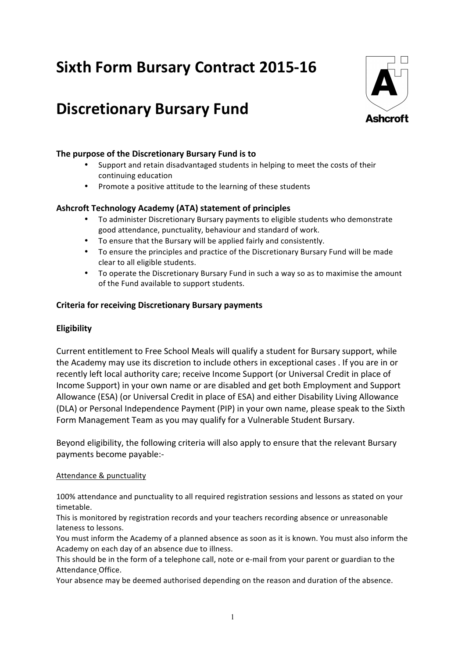# **Sixth Form Bursary Contract 2015-16**

## **Discretionary Bursary Fund**



#### The purpose of the Discretionary Bursary Fund is to

- Support and retain disadvantaged students in helping to meet the costs of their continuing education
- Promote a positive attitude to the learning of these students

#### Ashcroft Technology Academy (ATA) statement of principles

- To administer Discretionary Bursary payments to eligible students who demonstrate good attendance, punctuality, behaviour and standard of work.
- To ensure that the Bursary will be applied fairly and consistently.
- To ensure the principles and practice of the Discretionary Bursary Fund will be made clear to all eligible students.
- To operate the Discretionary Bursary Fund in such a way so as to maximise the amount of the Fund available to support students.

#### **Criteria for receiving Discretionary Bursary payments**

#### **Eligibility**

Current entitlement to Free School Meals will qualify a student for Bursary support, while the Academy may use its discretion to include others in exceptional cases . If you are in or recently left local authority care; receive Income Support (or Universal Credit in place of Income Support) in your own name or are disabled and get both Employment and Support Allowance (ESA) (or Universal Credit in place of ESA) and either Disability Living Allowance (DLA) or Personal Independence Payment (PIP) in your own name, please speak to the Sixth Form Management Team as you may qualify for a Vulnerable Student Bursary.

Beyond eligibility, the following criteria will also apply to ensure that the relevant Bursary payments become payable:-

#### Attendance & punctuality

100% attendance and punctuality to all required registration sessions and lessons as stated on your timetable. 

This is monitored by registration records and your teachers recording absence or unreasonable lateness to lessons.

You must inform the Academy of a planned absence as soon as it is known. You must also inform the Academy on each day of an absence due to illness.

This should be in the form of a telephone call, note or e-mail from your parent or guardian to the Attendance Office. 

Your absence may be deemed authorised depending on the reason and duration of the absence.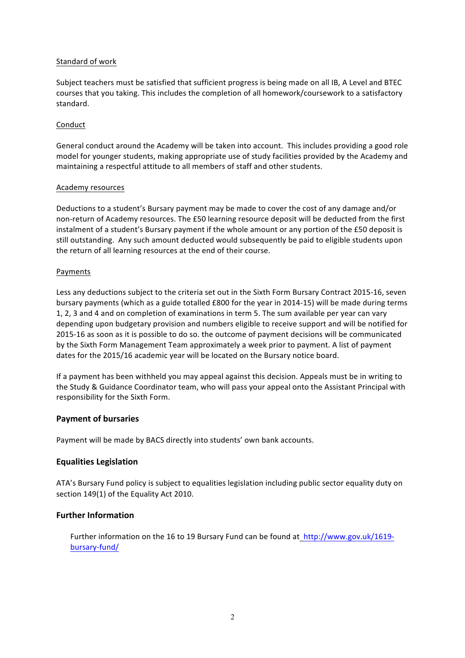#### Standard of work

Subject teachers must be satisfied that sufficient progress is being made on all IB, A Level and BTEC courses that you taking. This includes the completion of all homework/coursework to a satisfactory standard.

#### Conduct

General conduct around the Academy will be taken into account. This includes providing a good role model for younger students, making appropriate use of study facilities provided by the Academy and maintaining a respectful attitude to all members of staff and other students.

#### Academy resources

Deductions to a student's Bursary payment may be made to cover the cost of any damage and/or non-return of Academy resources. The £50 learning resource deposit will be deducted from the first instalment of a student's Bursary payment if the whole amount or any portion of the £50 deposit is still outstanding. Any such amount deducted would subsequently be paid to eligible students upon the return of all learning resources at the end of their course.

#### Payments

Less any deductions subject to the criteria set out in the Sixth Form Bursary Contract 2015-16, seven bursary payments (which as a guide totalled £800 for the year in 2014-15) will be made during terms 1, 2, 3 and 4 and on completion of examinations in term 5. The sum available per year can vary depending upon budgetary provision and numbers eligible to receive support and will be notified for 2015-16 as soon as it is possible to do so. the outcome of payment decisions will be communicated by the Sixth Form Management Team approximately a week prior to payment. A list of payment dates for the 2015/16 academic year will be located on the Bursary notice board.

If a payment has been withheld you may appeal against this decision. Appeals must be in writing to the Study & Guidance Coordinator team, who will pass your appeal onto the Assistant Principal with responsibility for the Sixth Form.

#### **Payment of bursaries**

Payment will be made by BACS directly into students' own bank accounts.

#### **Equalities Legislation**

ATA's Bursary Fund policy is subject to equalities legislation including public sector equality duty on section 149(1) of the Equality Act 2010.

#### **Further Information**

Further information on the 16 to 19 Bursary Fund can be found at  $http://www.gov.uk/1619$ bursary-fund/